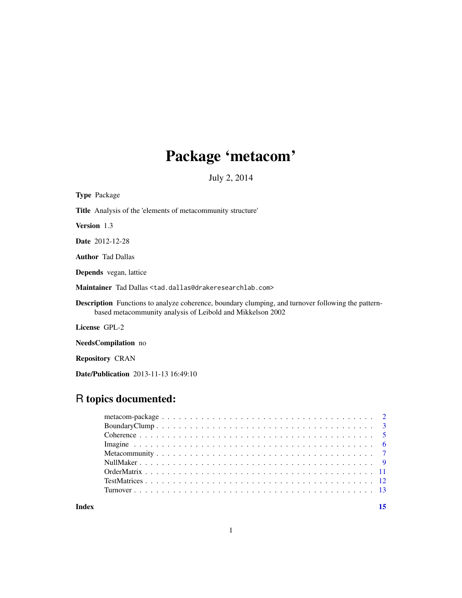## Package 'metacom'

July 2, 2014

| <b>Type Package</b>                                                                                                                                                     |
|-------------------------------------------------------------------------------------------------------------------------------------------------------------------------|
| <b>Title</b> Analysis of the 'elements of metacommunity structure'                                                                                                      |
| <b>Version</b> 1.3                                                                                                                                                      |
| <b>Date</b> 2012-12-28                                                                                                                                                  |
| <b>Author</b> Tad Dallas                                                                                                                                                |
| <b>Depends</b> vegan, lattice                                                                                                                                           |
| Maintainer Tad Dallas <tad.dallas@drakeresearchlab.com></tad.dallas@drakeresearchlab.com>                                                                               |
| <b>Description</b> Functions to analyze coherence, boundary clumping, and turnover following the pattern-<br>based metacommunity analysis of Leibold and Mikkelson 2002 |
| License GPL-2                                                                                                                                                           |
| <b>NeedsCompilation</b> no                                                                                                                                              |

Repository CRAN

Date/Publication 2013-11-13 16:49:10

## R topics documented:

| Index |  |
|-------|--|
|       |  |
|       |  |
|       |  |
|       |  |
|       |  |
|       |  |
|       |  |
|       |  |
|       |  |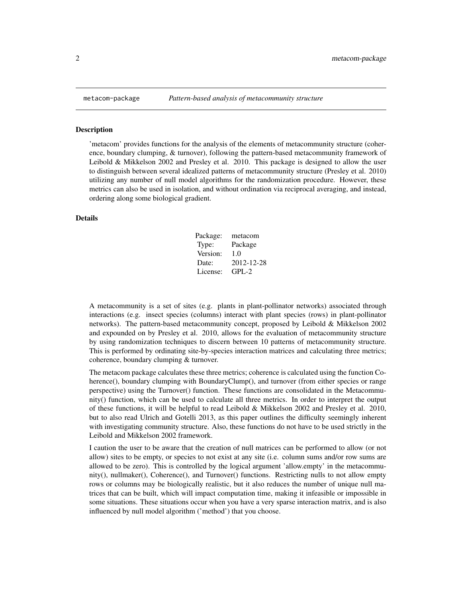<span id="page-1-0"></span>

#### Description

'metacom' provides functions for the analysis of the elements of metacommunity structure (coherence, boundary clumping, & turnover), following the pattern-based metacommunity framework of Leibold & Mikkelson 2002 and Presley et al. 2010. This package is designed to allow the user to distinguish between several idealized patterns of metacommunity structure (Presley et al. 2010) utilizing any number of null model algorithms for the randomization procedure. However, these metrics can also be used in isolation, and without ordination via reciprocal averaging, and instead, ordering along some biological gradient.

#### Details

| Package: | metacom    |
|----------|------------|
| Type:    | Package    |
| Version: | 1.0        |
| Date:    | 2012-12-28 |
| License: | $GPI - 2$  |

A metacommunity is a set of sites (e.g. plants in plant-pollinator networks) associated through interactions (e.g. insect species (columns) interact with plant species (rows) in plant-pollinator networks). The pattern-based metacommunity concept, proposed by Leibold & Mikkelson 2002 and expounded on by Presley et al. 2010, allows for the evaluation of metacommunity structure by using randomization techniques to discern between 10 patterns of metacommunity structure. This is performed by ordinating site-by-species interaction matrices and calculating three metrics; coherence, boundary clumping & turnover.

The metacom package calculates these three metrics; coherence is calculated using the function Coherence(), boundary clumping with BoundaryClump(), and turnover (from either species or range perspective) using the Turnover() function. These functions are consolidated in the Metacommunity() function, which can be used to calculate all three metrics. In order to interpret the output of these functions, it will be helpful to read Leibold & Mikkelson 2002 and Presley et al. 2010, but to also read Ulrich and Gotelli 2013, as this paper outlines the difficulty seemingly inherent with investigating community structure. Also, these functions do not have to be used strictly in the Leibold and Mikkelson 2002 framework.

I caution the user to be aware that the creation of null matrices can be performed to allow (or not allow) sites to be empty, or species to not exist at any site (i.e. column sums and/or row sums are allowed to be zero). This is controlled by the logical argument 'allow.empty' in the metacommunity(), nullmaker(), Coherence(), and Turnover() functions. Restricting nulls to not allow empty rows or columns may be biologically realistic, but it also reduces the number of unique null matrices that can be built, which will impact computation time, making it infeasible or impossible in some situations. These situations occur when you have a very sparse interaction matrix, and is also influenced by null model algorithm ('method') that you choose.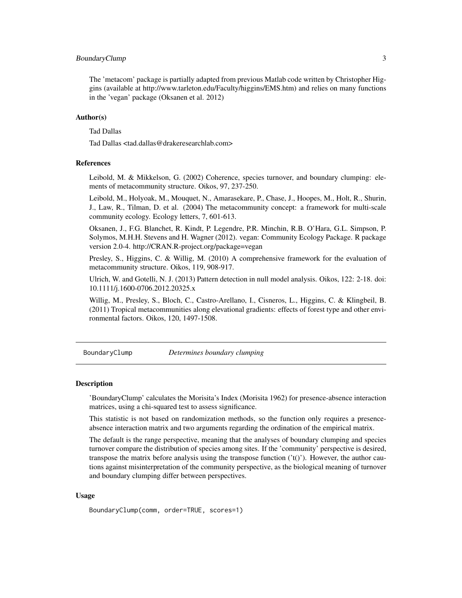#### <span id="page-2-0"></span>BoundaryClump 3

The 'metacom' package is partially adapted from previous Matlab code written by Christopher Higgins (available at http://www.tarleton.edu/Faculty/higgins/EMS.htm) and relies on many functions in the 'vegan' package (Oksanen et al. 2012)

#### Author(s)

Tad Dallas

Tad Dallas <tad.dallas@drakeresearchlab.com>

#### References

Leibold, M. & Mikkelson, G. (2002) Coherence, species turnover, and boundary clumping: elements of metacommunity structure. Oikos, 97, 237-250.

Leibold, M., Holyoak, M., Mouquet, N., Amarasekare, P., Chase, J., Hoopes, M., Holt, R., Shurin, J., Law, R., Tilman, D. et al. (2004) The metacommunity concept: a framework for multi-scale community ecology. Ecology letters, 7, 601-613.

Oksanen, J., F.G. Blanchet, R. Kindt, P. Legendre, P.R. Minchin, R.B. O'Hara, G.L. Simpson, P. Solymos, M.H.H. Stevens and H. Wagner (2012). vegan: Community Ecology Package. R package version 2.0-4. http://CRAN.R-project.org/package=vegan

Presley, S., Higgins, C. & Willig, M. (2010) A comprehensive framework for the evaluation of metacommunity structure. Oikos, 119, 908-917.

Ulrich, W. and Gotelli, N. J. (2013) Pattern detection in null model analysis. Oikos, 122: 2-18. doi: 10.1111/j.1600-0706.2012.20325.x

Willig, M., Presley, S., Bloch, C., Castro-Arellano, I., Cisneros, L., Higgins, C. & Klingbeil, B. (2011) Tropical metacommunities along elevational gradients: effects of forest type and other environmental factors. Oikos, 120, 1497-1508.

BoundaryClump *Determines boundary clumping*

#### Description

'BoundaryClump' calculates the Morisita's Index (Morisita 1962) for presence-absence interaction matrices, using a chi-squared test to assess significance.

This statistic is not based on randomization methods, so the function only requires a presenceabsence interaction matrix and two arguments regarding the ordination of the empirical matrix.

The default is the range perspective, meaning that the analyses of boundary clumping and species turnover compare the distribution of species among sites. If the 'community' perspective is desired, transpose the matrix before analysis using the transpose function  $('t()')$ . However, the author cautions against misinterpretation of the community perspective, as the biological meaning of turnover and boundary clumping differ between perspectives.

#### Usage

BoundaryClump(comm, order=TRUE, scores=1)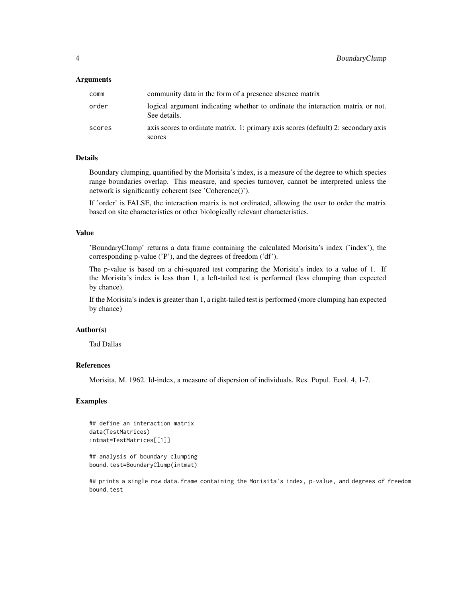#### Arguments

| comm   | community data in the form of a presence absence matrix                                        |
|--------|------------------------------------------------------------------------------------------------|
| order  | logical argument indicating whether to ordinate the interaction matrix or not.<br>See details. |
| scores | axis scores to ordinate matrix. 1: primary axis scores (default) 2: secondary axis<br>scores   |

#### Details

Boundary clumping, quantified by the Morisita's index, is a measure of the degree to which species range boundaries overlap. This measure, and species turnover, cannot be interpreted unless the network is significantly coherent (see 'Coherence()').

If 'order' is FALSE, the interaction matrix is not ordinated, allowing the user to order the matrix based on site characteristics or other biologically relevant characteristics.

#### Value

'BoundaryClump' returns a data frame containing the calculated Morisita's index ('index'), the corresponding p-value ('P'), and the degrees of freedom ('df').

The p-value is based on a chi-squared test comparing the Morisita's index to a value of 1. If the Morisita's index is less than 1, a left-tailed test is performed (less clumping than expected by chance).

If the Morisita's index is greater than 1, a right-tailed test is performed (more clumping han expected by chance)

#### Author(s)

Tad Dallas

### References

Morisita, M. 1962. Id-index, a measure of dispersion of individuals. Res. Popul. Ecol. 4, 1-7.

#### Examples

```
## define an interaction matrix
data(TestMatrices)
intmat=TestMatrices[[1]]
```
## analysis of boundary clumping bound.test=BoundaryClump(intmat)

## prints a single row data.frame containing the Morisita's index, p-value, and degrees of freedom bound.test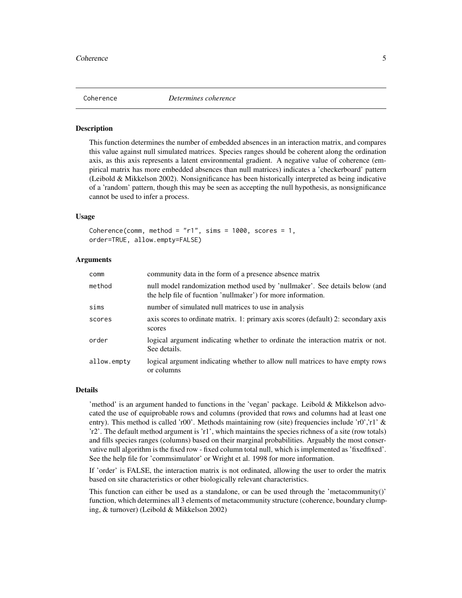<span id="page-4-0"></span>

#### Description

This function determines the number of embedded absences in an interaction matrix, and compares this value against null simulated matrices. Species ranges should be coherent along the ordination axis, as this axis represents a latent environmental gradient. A negative value of coherence (empirical matrix has more embedded absences than null matrices) indicates a 'checkerboard' pattern (Leibold & Mikkelson 2002). Nonsignificance has been historically interpreted as being indicative of a 'random' pattern, though this may be seen as accepting the null hypothesis, as nonsignificance cannot be used to infer a process.

#### Usage

```
Coherence(comm, method = "r1", sims = 1000, scores = 1,
order=TRUE, allow.empty=FALSE)
```
#### Arguments

| comm        | community data in the form of a presence absence matrix                                                                                     |
|-------------|---------------------------------------------------------------------------------------------------------------------------------------------|
| method      | null model randomization method used by 'nullmaker'. See details below (and<br>the help file of fucntion 'nullmaker') for more information. |
| sims        | number of simulated null matrices to use in analysis                                                                                        |
| scores      | axis scores to ordinate matrix. 1: primary axis scores (default) 2: secondary axis<br>scores                                                |
| order       | logical argument indicating whether to ordinate the interaction matrix or not.<br>See details.                                              |
| allow.empty | logical argument indicating whether to allow null matrices to have empty rows<br>or columns                                                 |

#### Details

'method' is an argument handed to functions in the 'vegan' package. Leibold & Mikkelson advocated the use of equiprobable rows and columns (provided that rows and columns had at least one entry). This method is called 'r00'. Methods maintaining row (site) frequencies include 'r0','r1' & 'r2'. The default method argument is 'r1', which maintains the species richness of a site (row totals) and fills species ranges (columns) based on their marginal probabilities. Arguably the most conservative null algorithm is the fixed row - fixed column total null, which is implemented as 'fixedfixed'. See the help file for 'commsimulator' or Wright et al. 1998 for more information.

If 'order' is FALSE, the interaction matrix is not ordinated, allowing the user to order the matrix based on site characteristics or other biologically relevant characteristics.

This function can either be used as a standalone, or can be used through the 'metacommunity()' function, which determines all 3 elements of metacommunity structure (coherence, boundary clumping, & turnover) (Leibold & Mikkelson 2002)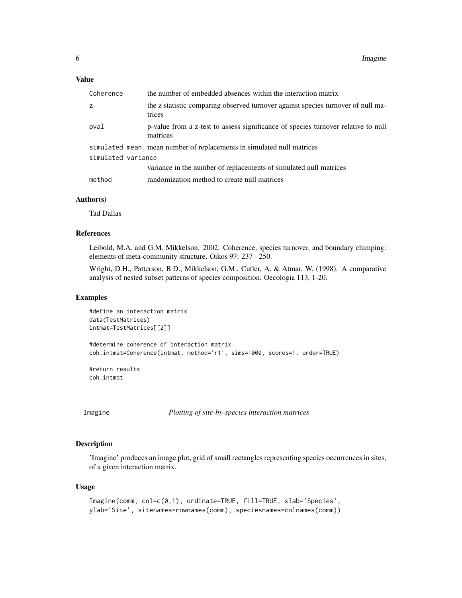#### <span id="page-5-0"></span>Value

| Coherence          | the number of embedded absences within the interaction matrix                                 |  |
|--------------------|-----------------------------------------------------------------------------------------------|--|
| z                  | the z statistic comparing observed turnover against species turnover of null ma-<br>trices    |  |
| pval               | p-value from a z-test to assess significance of species turnover relative to null<br>matrices |  |
|                    | simulated mean mean number of replacements in simulated null matrices                         |  |
| simulated variance |                                                                                               |  |
|                    | variance in the number of replacements of simulated null matrices                             |  |
| method             | randomization method to create null matrices                                                  |  |

#### Author(s)

Tad Dallas

#### References

Leibold, M.A. and G.M. Mikkelson. 2002. Coherence, species turnover, and boundary clumping: elements of meta-community structure. Oikos 97: 237 - 250.

Wright, D.H., Patterson, B.D., Mikkelson, G.M., Cutler, A. & Atmar, W. (1998). A comparative analysis of nested subset patterns of species composition. Oecologia 113, 1-20.

#### Examples

```
#define an interaction matrix
data(TestMatrices)
intmat=TestMatrices[[2]]
#determine coherence of interaction matrix
coh.intmat=Coherence(intmat, method='r1', sims=1000, scores=1, order=TRUE)
```
#return results coh.intmat

Imagine *Plotting of site-by-species interaction matrices*

#### Description

'Imagine' produces an image plot, grid of small rectangles representing species occurrences in sites, of a given interaction matrix.

#### Usage

```
Imagine(comm, col=c(0,1), ordinate=TRUE, fill=TRUE, xlab='Species',
ylab='Site', sitenames=rownames(comm), speciesnames=colnames(comm))
```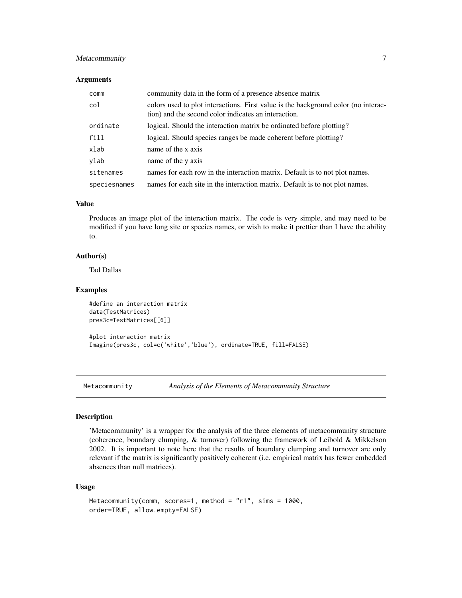#### <span id="page-6-0"></span>Metacommunity 7

#### **Arguments**

| comm         | community data in the form of a presence absence matrix                                                                                    |
|--------------|--------------------------------------------------------------------------------------------------------------------------------------------|
| col          | colors used to plot interactions. First value is the background color (no interac-<br>tion) and the second color indicates an interaction. |
| ordinate     | logical. Should the interaction matrix be ordinated before plotting?                                                                       |
| fill         | logical. Should species ranges be made coherent before plotting?                                                                           |
| xlab         | name of the x axis                                                                                                                         |
| ylab         | name of the y axis                                                                                                                         |
| sitenames    | names for each row in the interaction matrix. Default is to not plot names.                                                                |
| speciesnames | names for each site in the interaction matrix. Default is to not plot names.                                                               |

### Value

Produces an image plot of the interaction matrix. The code is very simple, and may need to be modified if you have long site or species names, or wish to make it prettier than I have the ability to.

#### Author(s)

Tad Dallas

#### Examples

```
#define an interaction matrix
data(TestMatrices)
pres3c=TestMatrices[[6]]
#plot interaction matrix
```
Imagine(pres3c, col=c('white','blue'), ordinate=TRUE, fill=FALSE)

Metacommunity *Analysis of the Elements of Metacommunity Structure*

#### Description

'Metacommunity' is a wrapper for the analysis of the three elements of metacommunity structure (coherence, boundary clumping, & turnover) following the framework of Leibold & Mikkelson 2002. It is important to note here that the results of boundary clumping and turnover are only relevant if the matrix is significantly positively coherent (i.e. empirical matrix has fewer embedded absences than null matrices).

#### Usage

```
Metacommunity(comm, scores=1, method = "r1", sims = 1000,
order=TRUE, allow.empty=FALSE)
```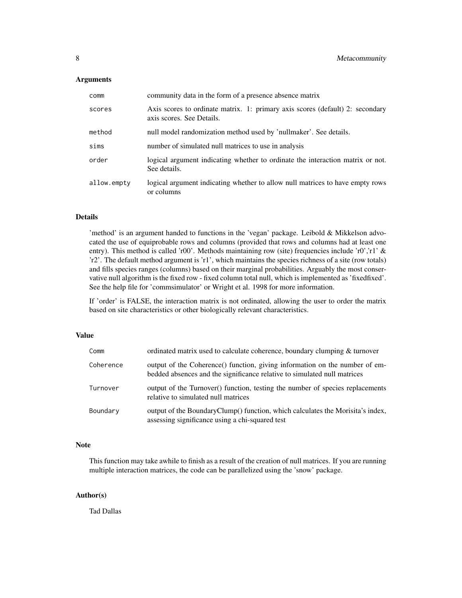#### Arguments

| comm        | community data in the form of a presence absence matrix                                                    |
|-------------|------------------------------------------------------------------------------------------------------------|
| scores      | Axis scores to ordinate matrix. 1: primary axis scores (default) 2: secondary<br>axis scores. See Details. |
| method      | null model randomization method used by 'nullmaker'. See details.                                          |
| sims        | number of simulated null matrices to use in analysis                                                       |
| order       | logical argument indicating whether to ordinate the interaction matrix or not.<br>See details.             |
| allow.empty | logical argument indicating whether to allow null matrices to have empty rows<br>or columns                |

#### Details

'method' is an argument handed to functions in the 'vegan' package. Leibold & Mikkelson advocated the use of equiprobable rows and columns (provided that rows and columns had at least one entry). This method is called 'r00'. Methods maintaining row (site) frequencies include 'r0','r1' & 'r2'. The default method argument is 'r1', which maintains the species richness of a site (row totals) and fills species ranges (columns) based on their marginal probabilities. Arguably the most conservative null algorithm is the fixed row - fixed column total null, which is implemented as 'fixedfixed'. See the help file for 'commsimulator' or Wright et al. 1998 for more information.

If 'order' is FALSE, the interaction matrix is not ordinated, allowing the user to order the matrix based on site characteristics or other biologically relevant characteristics.

#### Value

| Comm      | ordinated matrix used to calculate coherence, boundary clumping & turnover                                                                              |
|-----------|---------------------------------------------------------------------------------------------------------------------------------------------------------|
| Coherence | output of the Coherence() function, giving information on the number of em-<br>bedded absences and the significance relative to simulated null matrices |
| Turnover  | output of the Turnover() function, testing the number of species replacements<br>relative to simulated null matrices                                    |
| Boundary  | output of the BoundaryClump() function, which calculates the Morisita's index,<br>assessing significance using a chi-squared test                       |

#### Note

This function may take awhile to finish as a result of the creation of null matrices. If you are running multiple interaction matrices, the code can be parallelized using the 'snow' package.

#### Author(s)

Tad Dallas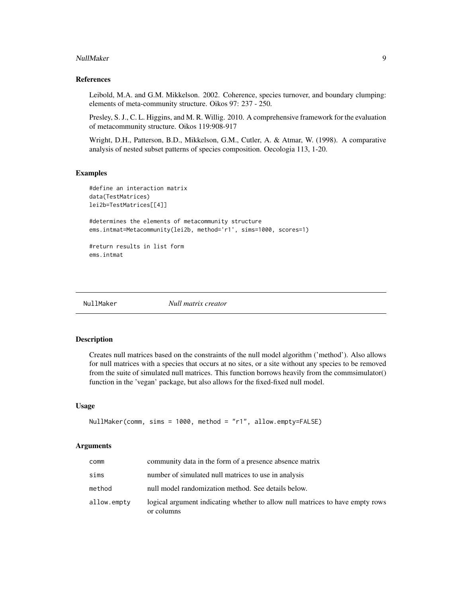#### <span id="page-8-0"></span>NullMaker 9

#### References

Leibold, M.A. and G.M. Mikkelson. 2002. Coherence, species turnover, and boundary clumping: elements of meta-community structure. Oikos 97: 237 - 250.

Presley, S. J., C. L. Higgins, and M. R. Willig. 2010. A comprehensive framework for the evaluation of metacommunity structure. Oikos 119:908-917

Wright, D.H., Patterson, B.D., Mikkelson, G.M., Cutler, A. & Atmar, W. (1998). A comparative analysis of nested subset patterns of species composition. Oecologia 113, 1-20.

#### Examples

```
#define an interaction matrix
data(TestMatrices)
lei2b=TestMatrices[[4]]
#determines the elements of metacommunity structure
ems.intmat=Metacommunity(lei2b, method='r1', sims=1000, scores=1)
#return results in list form
ems.intmat
```
NullMaker *Null matrix creator*

#### Description

Creates null matrices based on the constraints of the null model algorithm ('method'). Also allows for null matrices with a species that occurs at no sites, or a site without any species to be removed from the suite of simulated null matrices. This function borrows heavily from the commsimulator() function in the 'vegan' package, but also allows for the fixed-fixed null model.

#### Usage

```
NullMaker(comm, sims = 1000, method = "r1", allow.empty=FALSE)
```
#### Arguments

| comm        | community data in the form of a presence absence matrix                                     |
|-------------|---------------------------------------------------------------------------------------------|
| sims        | number of simulated null matrices to use in analysis                                        |
| method      | null model randomization method. See details below.                                         |
| allow.empty | logical argument indicating whether to allow null matrices to have empty rows<br>or columns |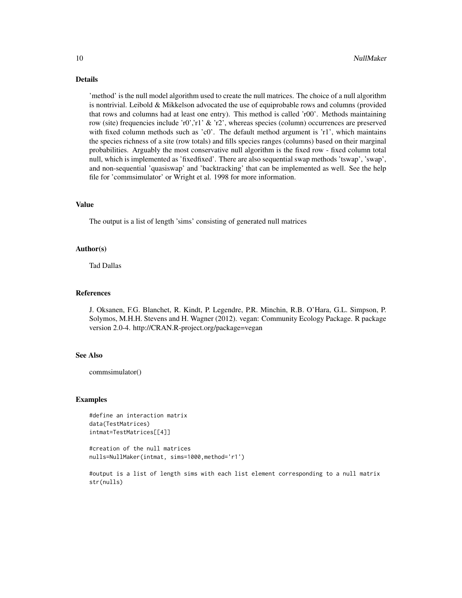#### Details

'method' is the null model algorithm used to create the null matrices. The choice of a null algorithm is nontrivial. Leibold & Mikkelson advocated the use of equiprobable rows and columns (provided that rows and columns had at least one entry). This method is called 'r00'. Methods maintaining row (site) frequencies include 'r0','r1' & 'r2', whereas species (column) occurrences are preserved with fixed column methods such as 'c0'. The default method argument is 'r1', which maintains the species richness of a site (row totals) and fills species ranges (columns) based on their marginal probabilities. Arguably the most conservative null algorithm is the fixed row - fixed column total null, which is implemented as 'fixedfixed'. There are also sequential swap methods 'tswap', 'swap', and non-sequential 'quasiswap' and 'backtracking' that can be implemented as well. See the help file for 'commsimulator' or Wright et al. 1998 for more information.

#### Value

The output is a list of length 'sims' consisting of generated null matrices

#### Author(s)

Tad Dallas

#### References

J. Oksanen, F.G. Blanchet, R. Kindt, P. Legendre, P.R. Minchin, R.B. O'Hara, G.L. Simpson, P. Solymos, M.H.H. Stevens and H. Wagner (2012). vegan: Community Ecology Package. R package version 2.0-4. http://CRAN.R-project.org/package=vegan

#### See Also

commsimulator()

#### Examples

#define an interaction matrix data(TestMatrices) intmat=TestMatrices[[4]]

#creation of the null matrices nulls=NullMaker(intmat, sims=1000,method='r1')

#output is a list of length sims with each list element corresponding to a null matrix str(nulls)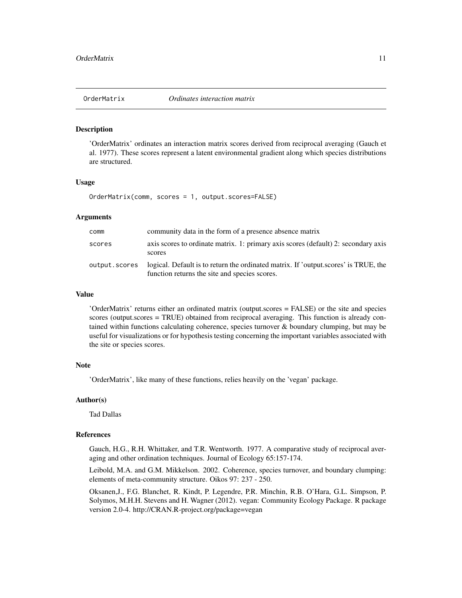#### <span id="page-10-0"></span>**Description**

'OrderMatrix' ordinates an interaction matrix scores derived from reciprocal averaging (Gauch et al. 1977). These scores represent a latent environmental gradient along which species distributions are structured.

#### Usage

OrderMatrix(comm, scores = 1, output.scores=FALSE)

#### Arguments

| comm          | community data in the form of a presence absence matrix                                                                              |
|---------------|--------------------------------------------------------------------------------------------------------------------------------------|
| scores        | axis scores to ordinate matrix. 1: primary axis scores (default) 2: secondary axis<br>scores                                         |
| output.scores | logical. Default is to return the ordinated matrix. If 'output.scores' is TRUE, the<br>function returns the site and species scores. |

#### Value

'OrderMatrix' returns either an ordinated matrix (output.scores = FALSE) or the site and species scores (output.scores = TRUE) obtained from reciprocal averaging. This function is already contained within functions calculating coherence, species turnover & boundary clumping, but may be useful for visualizations or for hypothesis testing concerning the important variables associated with the site or species scores.

#### Note

'OrderMatrix', like many of these functions, relies heavily on the 'vegan' package.

#### Author(s)

Tad Dallas

#### References

Gauch, H.G., R.H. Whittaker, and T.R. Wentworth. 1977. A comparative study of reciprocal averaging and other ordination techniques. Journal of Ecology 65:157-174.

Leibold, M.A. and G.M. Mikkelson. 2002. Coherence, species turnover, and boundary clumping: elements of meta-community structure. Oikos 97: 237 - 250.

Oksanen,J., F.G. Blanchet, R. Kindt, P. Legendre, P.R. Minchin, R.B. O'Hara, G.L. Simpson, P. Solymos, M.H.H. Stevens and H. Wagner (2012). vegan: Community Ecology Package. R package version 2.0-4. http://CRAN.R-project.org/package=vegan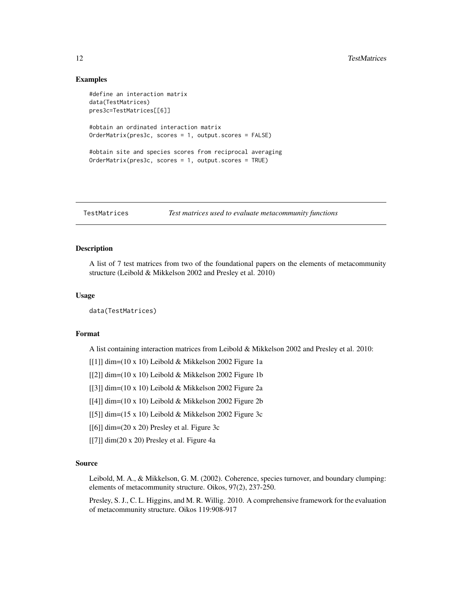#### <span id="page-11-0"></span>Examples

```
#define an interaction matrix
data(TestMatrices)
pres3c=TestMatrices[[6]]
#obtain an ordinated interaction matrix
OrderMatrix(pres3c, scores = 1, output.scores = FALSE)
#obtain site and species scores from reciprocal averaging
OrderMatrix(pres3c, scores = 1, output.scores = TRUE)
```

```
TestMatrices Test matrices used to evaluate metacommunity functions
```
### **Description**

A list of 7 test matrices from two of the foundational papers on the elements of metacommunity structure (Leibold & Mikkelson 2002 and Presley et al. 2010)

#### Usage

data(TestMatrices)

#### Format

A list containing interaction matrices from Leibold & Mikkelson 2002 and Presley et al. 2010:

- $[[1]]$  dim=(10 x 10) Leibold & Mikkelson 2002 Figure 1a
- [[2]] dim=(10 x 10) Leibold & Mikkelson 2002 Figure 1b
- [[3]] dim=(10 x 10) Leibold & Mikkelson 2002 Figure 2a
- [[4]] dim=(10 x 10) Leibold & Mikkelson 2002 Figure 2b
- [[5]] dim= $(15 \times 10)$  Leibold & Mikkelson 2002 Figure 3c
- [[6]] dim=(20 x 20) Presley et al. Figure 3c
- $[[7]]$  dim(20 x 20) Presley et al. Figure 4a

#### Source

Leibold, M. A., & Mikkelson, G. M. (2002). Coherence, species turnover, and boundary clumping: elements of metacommunity structure. Oikos, 97(2), 237-250.

Presley, S. J., C. L. Higgins, and M. R. Willig. 2010. A comprehensive framework for the evaluation of metacommunity structure. Oikos 119:908-917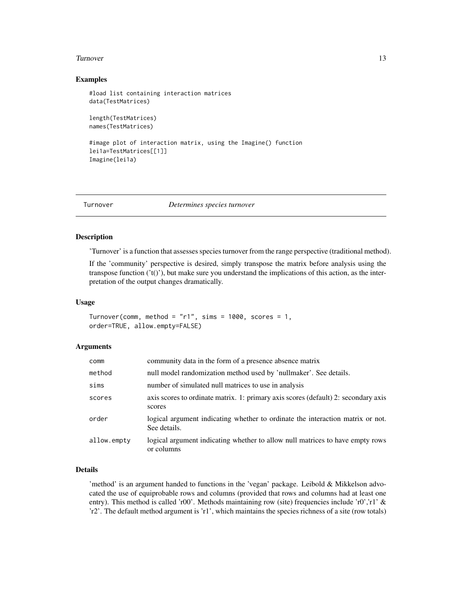#### <span id="page-12-0"></span>Turnover 13

#### Examples

```
#load list containing interaction matrices
data(TestMatrices)
length(TestMatrices)
names(TestMatrices)
```

```
#image plot of interaction matrix, using the Imagine() function
lei1a=TestMatrices[[1]]
Imagine(lei1a)
```
Turnover *Determines species turnover*

#### Description

'Turnover' is a function that assesses species turnover from the range perspective (traditional method).

If the 'community' perspective is desired, simply transpose the matrix before analysis using the transpose function  $('t()')$ , but make sure you understand the implications of this action, as the interpretation of the output changes dramatically.

#### Usage

```
Turnover(comm, method = "r1", sims = 1000, scores = 1,
order=TRUE, allow.empty=FALSE)
```
#### Arguments

| comm        | community data in the form of a presence absence matrix                                        |
|-------------|------------------------------------------------------------------------------------------------|
| method      | null model randomization method used by 'nullmaker'. See details.                              |
| sims        | number of simulated null matrices to use in analysis                                           |
| scores      | axis scores to ordinate matrix. 1: primary axis scores (default) 2: secondary axis<br>scores   |
| order       | logical argument indicating whether to ordinate the interaction matrix or not.<br>See details. |
| allow.empty | logical argument indicating whether to allow null matrices to have empty rows<br>or columns    |

#### Details

'method' is an argument handed to functions in the 'vegan' package. Leibold & Mikkelson advocated the use of equiprobable rows and columns (provided that rows and columns had at least one entry). This method is called 'r00'. Methods maintaining row (site) frequencies include 'r0','r1' & 'r2'. The default method argument is 'r1', which maintains the species richness of a site (row totals)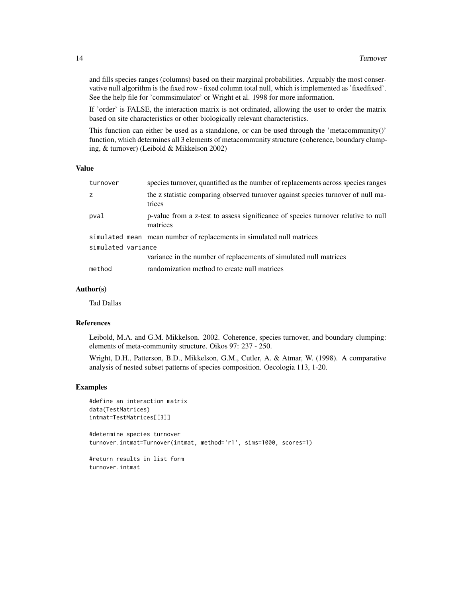and fills species ranges (columns) based on their marginal probabilities. Arguably the most conservative null algorithm is the fixed row - fixed column total null, which is implemented as 'fixedfixed'. See the help file for 'commsimulator' or Wright et al. 1998 for more information.

If 'order' is FALSE, the interaction matrix is not ordinated, allowing the user to order the matrix based on site characteristics or other biologically relevant characteristics.

This function can either be used as a standalone, or can be used through the 'metacommunity()' function, which determines all 3 elements of metacommunity structure (coherence, boundary clumping, & turnover) (Leibold & Mikkelson 2002)

#### Value

| turnover           | species turnover, quantified as the number of replacements across species ranges              |
|--------------------|-----------------------------------------------------------------------------------------------|
|                    | the z statistic comparing observed turnover against species turnover of null ma-<br>trices    |
| pval               | p-value from a z-test to assess significance of species turnover relative to null<br>matrices |
|                    | simulated mean mean number of replacements in simulated null matrices                         |
| simulated variance |                                                                                               |
|                    | variance in the number of replacements of simulated null matrices                             |
| method             | randomization method to create null matrices                                                  |

#### Author(s)

Tad Dallas

#### References

Leibold, M.A. and G.M. Mikkelson. 2002. Coherence, species turnover, and boundary clumping: elements of meta-community structure. Oikos 97: 237 - 250.

Wright, D.H., Patterson, B.D., Mikkelson, G.M., Cutler, A. & Atmar, W. (1998). A comparative analysis of nested subset patterns of species composition. Oecologia 113, 1-20.

#### Examples

```
#define an interaction matrix
data(TestMatrices)
intmat=TestMatrices[[3]]
```
#determine species turnover turnover.intmat=Turnover(intmat, method='r1', sims=1000, scores=1)

#return results in list form turnover.intmat